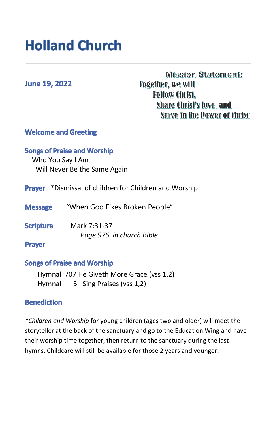# **Holland Church**

# **June 19, 2022**

# **Mission Statement: Together, we will Follow Christ, Share Christ's love, and** Serve in the Power of Christ

# **Welcome and Greeting**

# **Songs of Praise and Worship**

 Who You Say I Am I Will Never Be the Same Again

- Prayer \*Dismissal of children for Children and Worship
- **Message** "When God Fixes Broken People"
- **Scripture** Mark 7:31-37 *Page 976 in church Bible*

#### **Prayer**

#### **Songs of Praise and Worship**

Hymnal 707 He Giveth More Grace (vss 1,2) Hymnal 5 I Sing Praises (vss 1,2)

#### **Benediction**

*\*Children and Worship* for young children (ages two and older) will meet the storyteller at the back of the sanctuary and go to the Education Wing and have their worship time together, then return to the sanctuary during the last hymns. Childcare will still be available for those 2 years and younger.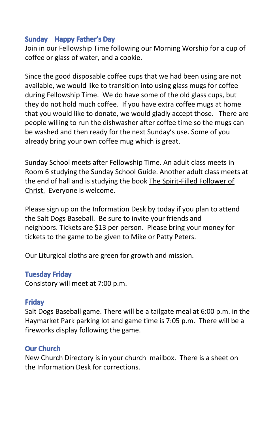# Sunday Happy Father's Day

Join in our Fellowship Time following our Morning Worship for a cup of coffee or glass of water, and a cookie.

Since the good disposable coffee cups that we had been using are not available, we would like to transition into using glass mugs for coffee during Fellowship Time. We do have some of the old glass cups, but they do not hold much coffee. If you have extra coffee mugs at home that you would like to donate, we would gladly accept those. There are people willing to run the dishwasher after coffee time so the mugs can be washed and then ready for the next Sunday's use. Some of you already bring your own coffee mug which is great.

Sunday School meets after Fellowship Time. An adult class meets in Room 6 studying the Sunday School Guide. Another adult class meets at the end of hall and is studying the book The Spirit-Filled Follower of Christ. Everyone is welcome.

Please sign up on the Information Desk by today if you plan to attend the Salt Dogs Baseball. Be sure to invite your friends and neighbors. Tickets are \$13 per person. Please bring your money for tickets to the game to be given to Mike or Patty Peters.

Our Liturgical cloths are green for growth and mission.

#### **Tuesday Friday**

Consistory will meet at 7:00 p.m.

# **Fridav**

Salt Dogs Baseball game. There will be a tailgate meal at 6:00 p.m. in the Haymarket Park parking lot and game time is 7:05 p.m. There will be a fireworks display following the game.

# **Our Church**

New Church Directory is in your church mailbox. There is a sheet on the Information Desk for corrections.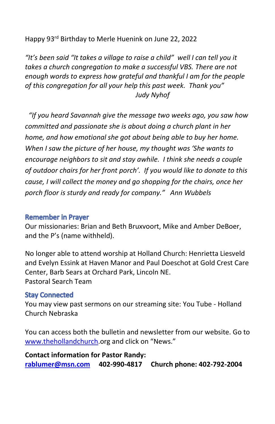Happy 93rd Birthday to Merle Huenink on June 22, 2022

*"It's been said "It takes a village to raise a child" well I can tell you it takes a church congregation to make a successful VBS. There are not enough words to express how grateful and thankful I am for the people of this congregation for all your help this past week. Thank you" Judy Nyhof*

*"If you heard Savannah give the message two weeks ago, you saw how committed and passionate she is about doing a church plant in her home, and how emotional she got about being able to buy her home. When I saw the picture of her house, my thought was 'She wants to encourage neighbors to sit and stay awhile. I think she needs a couple of outdoor chairs for her front porch'. If you would like to donate to this cause, I will collect the money and go shopping for the chairs, once her porch floor is sturdy and ready for company." Ann Wubbels* 

#### **Remember in Prayer**

Our missionaries: Brian and Beth Bruxvoort, Mike and Amber DeBoer, and the P's (name withheld).

No longer able to attend worship at Holland Church: Henrietta Liesveld and Evelyn Essink at Haven Manor and Paul Doeschot at Gold Crest Care Center, Barb Sears at Orchard Park, Lincoln NE. Pastoral Search Team

# **Stay Connected**

You may view past sermons on our streaming site: You Tube - Holland Church Nebraska

You can access both the bulletin and newsletter from our website. Go to [www.thehollandchurch](http://www.thehollandchurch/).org and click on "News."

**Contact information for Pastor Randy: [rablumer@msn.com](mailto:rablumer@msn.com) 402-990-4817 Church phone: 402-792-2004**